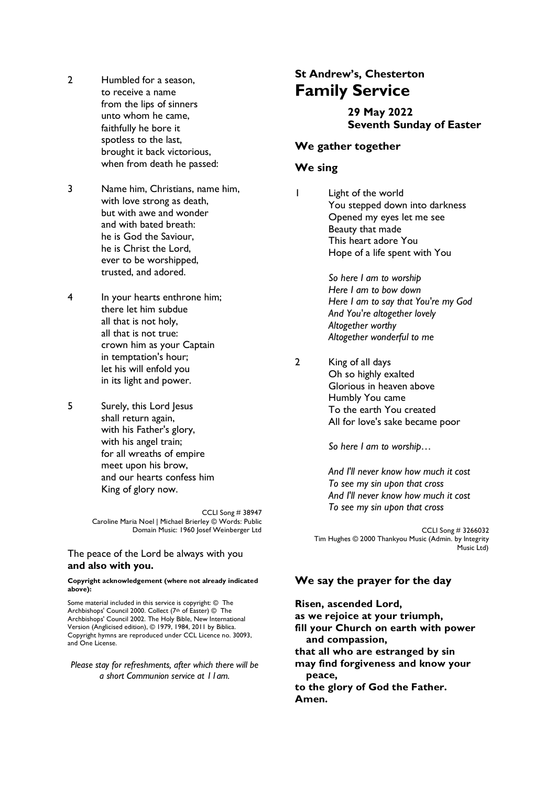- 2 Humbled for a season. to receive a name from the lips of sinners unto whom he came, faithfully he bore it spotless to the last, brought it back victorious, when from death he passed:
- 3 Name him, Christians, name him, with love strong as death, but with awe and wonder and with bated breath: he is God the Saviour, he is Christ the Lord, ever to be worshipped, trusted, and adored.
- 4 In your hearts enthrone him; there let him subdue all that is not holy, all that is not true: crown him as your Captain in temptation's hour; let his will enfold you in its light and power.
- 5 Surely, this Lord Jesus shall return again, with his Father's glory, with his angel train; for all wreaths of empire meet upon his brow, and our hearts confess him King of glory now.

CCLI Song # 38947 Caroline Maria Noel | Michael Brierley © Words: Public Domain Music: 1960 Josef Weinberger Ltd

#### The peace of the Lord be always with you **and also with you.**

#### **Copyright acknowledgement (where not already indicated above):**

Some material included in this service is copyright: © The Archbishops' Council 2000. Collect (7th of Easter) © The Archbishops' Council 2002. The Holy Bible, New International Version (Anglicised edition), © 1979, 1984, 2011 by Biblica. Copyright hymns are reproduced under CCL Licence no. 30093, and One License.

*Please stay for refreshments, after which there will be a short Communion service at 11am.*

# **St Andrew's, Chesterton Family Service**

# **29 May 2022 Seventh Sunday of Easter**

#### **We gather together**

## **We sing**

1 Light of the world You stepped down into darkness Opened my eyes let me see Beauty that made This heart adore You Hope of a life spent with You

> *So here I am to worship Here I am to bow down Here I am to say that You're my God And You're altogether lovely Altogether worthy Altogether wonderful to me*

2 King of all days Oh so highly exalted Glorious in heaven above Humbly You came To the earth You created All for love's sake became poor

*So here I am to worship…*

*And I'll never know how much it cost To see my sin upon that cross And I'll never know how much it cost To see my sin upon that cross*

CCLI Song # 3266032 Tim Hughes © 2000 Thankyou Music (Admin. by Integrity Music Ltd)

### **We say the prayer for the day**

**Risen, ascended Lord, as we rejoice at your triumph, fill your Church on earth with power and compassion, that all who are estranged by sin may find forgiveness and know your peace, to the glory of God the Father. Amen.**